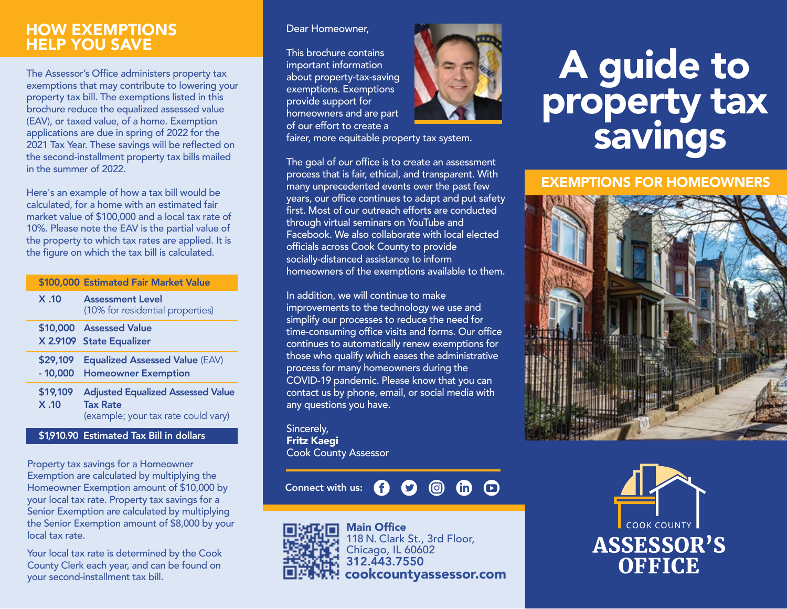# HOW EXEMPTIONS HELP YOU SAVE

The Assessor's Office administers property tax exemptions that may contribute to lowering your property tax bill. The exemptions listed in this brochure reduce the equalized assessed value (EAV), or taxed value, of a home. Exemption applications are due in spring of 2022 for the 2021 Tax Year. These savings will be reflected on the second-installment property tax bills mailed in the summer of 2022.

Here's an example of how a tax bill would be calculated, for a home with an estimated fair market value of \$100,000 and a local tax rate of 10%. Please note the EAV is the partial value of the property to which tax rates are applied. It is the figure on which the tax bill is calculated.

| X.10<br><b>Assessment Level</b><br>(10% for residential properties)<br>\$10,000 Assessed Value<br>X 2.9109 State Equalizer<br>\$29,109<br><b>Equalized Assessed Value (EAV)</b><br>$-10,000$<br><b>Homeowner Exemption</b><br>\$19,109<br>X.10<br><b>Tax Rate</b> |  | \$100,000 Estimated Fair Market Value                                           |
|-------------------------------------------------------------------------------------------------------------------------------------------------------------------------------------------------------------------------------------------------------------------|--|---------------------------------------------------------------------------------|
|                                                                                                                                                                                                                                                                   |  |                                                                                 |
|                                                                                                                                                                                                                                                                   |  |                                                                                 |
|                                                                                                                                                                                                                                                                   |  |                                                                                 |
|                                                                                                                                                                                                                                                                   |  | <b>Adjusted Equalized Assessed Value</b><br>(example; your tax rate could vary) |

\$1,910.90 Estimated Tax Bill in dollars

Property tax savings for a Homeowner Exemption are calculated by multiplying the Homeowner Exemption amount of \$10,000 by your local tax rate. Property tax savings for a Senior Exemption are calculated by multiplying the Senior Exemption amount of \$8,000 by your local tax rate.

Your local tax rate is determined by the Cook County Clerk each year, and can be found on your second-installment tax bill.

#### Dear Homeowner,

This brochure contains important information about property-tax-saving exemptions. Exemptions provide support for homeowners and are part of our effort to create a



#### fairer, more equitable property tax system.

The goal of our office is to create an assessment process that is fair, ethical, and transparent. With many unprecedented events over the past few years, our office continues to adapt and put safety first. Most of our outreach efforts are conducted through virtual seminars on YouTube and Facebook. We also collaborate with local elected officials across Cook County to provide socially-distanced assistance to inform homeowners of the exemptions available to them.

In addition, we will continue to make improvements to the technology we use and simplify our processes to reduce the need for time-consuming office visits and forms. Our office continues to automatically renew exemptions for those who qualify which eases the administrative process for many homeowners during the COVID-19 pandemic. Please know that you can contact us by phone, email, or social media with any questions you have.

Sincerely, Fritz Kaegi Cook County Assessor

 $\odot$  $\oplus$   $\oplus$ Connect with us: G  $\boldsymbol{\Omega}$ 



# A guide to property tax savings

EXEMPTIONS FOR HOMEOWNERS